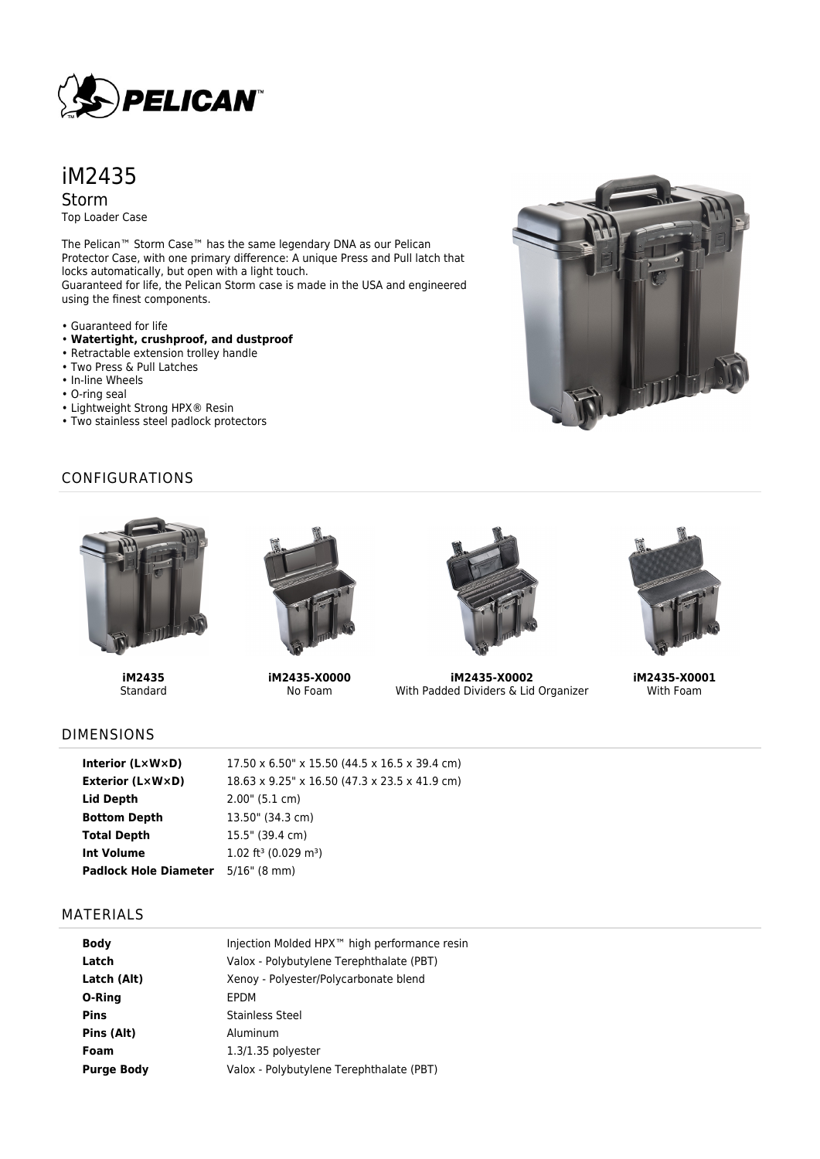

iM2435 Storm

Top Loader Case

The Pelican™ Storm Case™ has the same legendary DNA as our Pelican Protector Case, with one primary difference: A unique Press and Pull latch that locks automatically, but open with a light touch. Guaranteed for life, the Pelican Storm case is made in the USA and engineered using the finest components.

- Guaranteed for life
- **Watertight, crushproof, and dustproof**
- Retractable extension trolley handle
- Two Press & Pull Latches
- In-line Wheels
- O-ring seal
- Lightweight Strong HPX® Resin
- Two stainless steel padlock protectors



## CONFIGURATIONS



**iM2435 Standard** 



**iM2435-X0000** No Foam



**iM2435-X0002** With Padded Dividers & Lid Organizer



**iM2435-X0001** With Foam

## DIMENSIONS

| Interior $(L \times W \times D)$ | 17.50 x 6.50" x 15.50 (44.5 x 16.5 x 39.4 cm)  |
|----------------------------------|------------------------------------------------|
| Exterior (L×W×D)                 | 18.63 x 9.25" x 16.50 (47.3 x 23.5 x 41.9 cm)  |
| Lid Depth                        | 2.00" (5.1 cm)                                 |
| <b>Bottom Depth</b>              | 13.50" (34.3 cm)                               |
| <b>Total Depth</b>               | 15.5" (39.4 cm)                                |
| <b>Int Volume</b>                | $1.02$ ft <sup>3</sup> (0.029 m <sup>3</sup> ) |
| <b>Padlock Hole Diameter</b>     | $5/16$ " (8 mm)                                |

#### MATERIALS

| <b>Body</b>       | Injection Molded HPX™ high performance resin |
|-------------------|----------------------------------------------|
| Latch             | Valox - Polybutylene Terephthalate (PBT)     |
| Latch (Alt)       | Xenoy - Polyester/Polycarbonate blend        |
| O-Ring            | EPDM                                         |
| <b>Pins</b>       | Stainless Steel                              |
| Pins (Alt)        | Aluminum                                     |
| Foam              | $1.3/1.35$ polyester                         |
| <b>Purge Body</b> | Valox - Polybutylene Terephthalate (PBT)     |